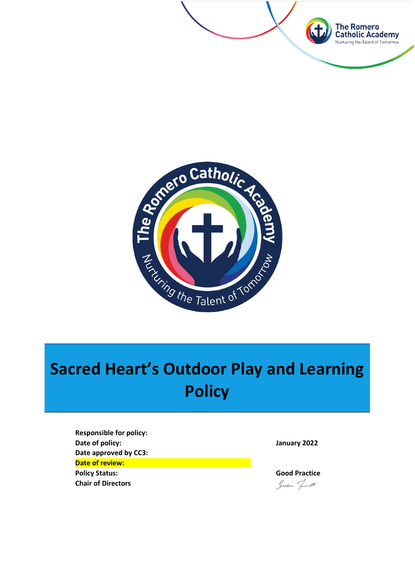



## **Sacred Heart's Outdoor Play and Learning Policy**

**Responsible for policy: Date of policy: January 2022 Date approved by CC3: Date of review: Policy Status: Good Practice Chair of Directors**

Sundan Townett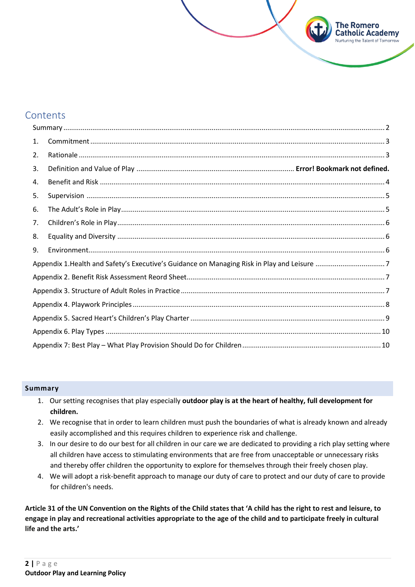## **Contents**

| 1. |  |  |  |  |  |
|----|--|--|--|--|--|
| 2. |  |  |  |  |  |
| 3. |  |  |  |  |  |
| 4. |  |  |  |  |  |
| 5. |  |  |  |  |  |
| 6. |  |  |  |  |  |
| 7. |  |  |  |  |  |
| 8. |  |  |  |  |  |
| 9. |  |  |  |  |  |
|    |  |  |  |  |  |
|    |  |  |  |  |  |
|    |  |  |  |  |  |
|    |  |  |  |  |  |
|    |  |  |  |  |  |
|    |  |  |  |  |  |
|    |  |  |  |  |  |

The Romero **Catholic Academy** Nurturing the Talent of Tomorrow

#### **Summary**

- 1. Our setting recognises that play especially **outdoor play is at the heart of healthy, full development for children.**
- 2. We recognise that in order to learn children must push the boundaries of what is already known and already easily accomplished and this requires children to experience risk and challenge.
- 3. In our desire to do our best for all children in our care we are dedicated to providing a rich play setting where all children have access to stimulating environments that are free from unacceptable or unnecessary risks and thereby offer children the opportunity to explore for themselves through their freely chosen play.
- 4. We will adopt a risk-benefit approach to manage our duty of care to protect and our duty of care to provide for children's needs.

**Article 31 of the UN Convention on the Rights of the Child states that 'A child has the right to rest and leisure, to engage in play and recreational activities appropriate to the age of the child and to participate freely in cultural life and the arts.'**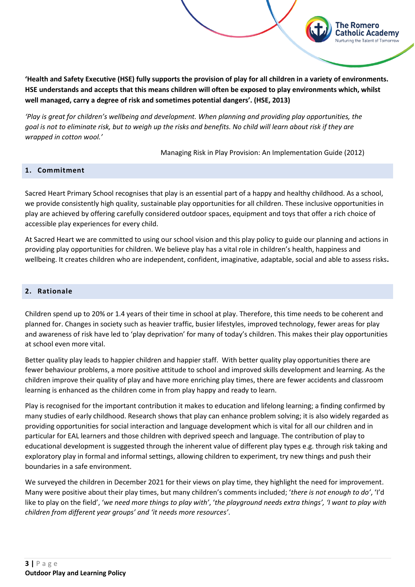**'Health and Safety Executive (HSE) fully supports the provision of play for all children in a variety of environments. HSE understands and accepts that this means children will often be exposed to play environments which, whilst well managed, carry a degree of risk and sometimes potential dangers'. (HSE, 2013)**

*'Play is great for children's wellbeing and development. When planning and providing play opportunities, the goal is not to eliminate risk, but to weigh up the risks and benefits. No child will learn about risk if they are wrapped in cotton wool.'*

Managing Risk in Play Provision: An Implementation Guide (2012)

The Romero

t**holic Academv** 

#### **1. Commitment**

Sacred Heart Primary School recognises that play is an essential part of a happy and healthy childhood. As a school, we provide consistently high quality, sustainable play opportunities for all children. These inclusive opportunities in play are achieved by offering carefully considered outdoor spaces, equipment and toys that offer a rich choice of accessible play experiences for every child.

At Sacred Heart we are committed to using our school vision and this play policy to guide our planning and actions in providing play opportunities for children. We believe play has a vital role in children's health, happiness and wellbeing. It creates children who are independent, confident, imaginative, adaptable, social and able to assess risks**.**

#### <span id="page-2-0"></span>**2. Rationale**

Children spend up to 20% or 1.4 years of their time in school at play. Therefore, this time needs to be coherent and planned for. Changes in society such as heavier traffic, busier lifestyles, improved technology, fewer areas for play and awareness of risk have led to 'play deprivation' for many of today's children. This makes their play opportunities at school even more vital.

Better quality play leads to happier children and happier staff. With better quality play opportunities there are fewer behaviour problems, a more positive attitude to school and improved skills development and learning. As the children improve their quality of play and have more enriching play times, there are fewer accidents and classroom learning is enhanced as the children come in from play happy and ready to learn.

Play is recognised for the important contribution it makes to education and lifelong learning; a finding confirmed by many studies of early childhood. Research shows that play can enhance problem solving; it is also widely regarded as providing opportunities for social interaction and language development which is vital for all our children and in particular for EAL learners and those children with deprived speech and language. The contribution of play to educational development is suggested through the inherent value of different play types e.g. through risk taking and exploratory play in formal and informal settings, allowing children to experiment, try new things and push their boundaries in a safe environment.

We surveyed the children in December 2021 for their views on play time, they highlight the need for improvement. Many were positive about their play times, but many children's comments included; '*there is not enough to do'*, 'I'd like to play on the field', '*we need more things to play with'*, '*the playground needs extra things', 'I want to play with children from different year groups' and 'it needs more resources'*.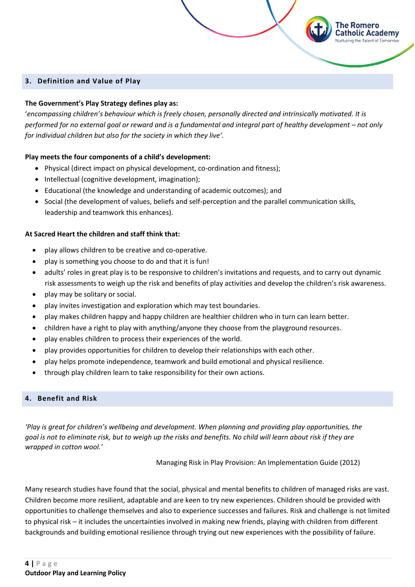#### **3. Definition and Value of Play**

### **The Government's Play Strategy defines play as:**

'*encompassing children's behaviour which is freely chosen, personally directed and intrinsically motivated. It is performed for no external goal or reward and is a fundamental and integral part of healthy development – not only for individual children but also for the society in which they live'.*

The Romero

atholic Academy

#### **Play meets the four components of a child's development:**

- Physical (direct impact on physical development, co-ordination and fitness);
- Intellectual (cognitive development, imagination);
- Educational (the knowledge and understanding of academic outcomes); and
- Social (the development of values, beliefs and self-perception and the parallel communication skills, leadership and teamwork this enhances).

#### **At Sacred Heart the children and staff think that:**

- play allows children to be creative and co-operative.
- play is something you choose to do and that it is fun!
- adults' roles in great play is to be responsive to children's invitations and requests, and to carry out dynamic risk assessments to weigh up the risk and benefits of play activities and develop the children's risk awareness.
- play may be solitary or social.
- play invites investigation and exploration which may test boundaries.
- play makes children happy and happy children are healthier children who in turn can learn better.
- children have a right to play with anything/anyone they choose from the playground resources.
- play enables children to process their experiences of the world.
- play provides opportunities for children to develop their relationships with each other.
- play helps promote independence, teamwork and build emotional and physical resilience.
- through play children learn to take responsibility for their own actions.

#### <span id="page-3-1"></span><span id="page-3-0"></span>**4. Benefit and Risk**

*'Play is great for children's wellbeing and development. When planning and providing play opportunities, the goal is not to eliminate risk, but to weigh up the risks and benefits. No child will learn about risk if they are wrapped in cotton wool.'*

Managing Risk in Play Provision: An Implementation Guide (2012)

Many research studies have found that the social, physical and mental benefits to children of managed risks are vast. Children become more resilient, adaptable and are keen to try new experiences. Children should be provided with opportunities to challenge themselves and also to experience successes and failures. Risk and challenge is not limited to physical risk – it includes the uncertainties involved in making new friends, playing with children from different backgrounds and building emotional resilience through trying out new experiences with the possibility of failure.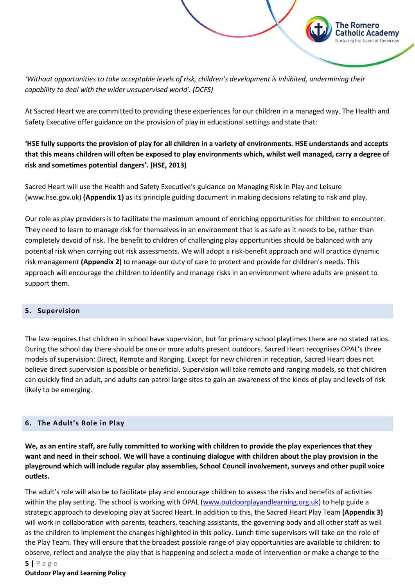*'Without opportunities to take acceptable levels of risk, children's development is inhibited, undermining their capability to deal with the wider unsupervised world'. (DCFS)*

At Sacred Heart we are committed to providing these experiences for our children in a managed way. The Health and Safety Executive offer guidance on the provision of play in educational settings and state that:

The Romero

atholic Academy

## **'HSE fully supports the provision of play for all children in a variety of environments. HSE understands and accepts that this means children will often be exposed to play environments which, whilst well managed, carry a degree of risk and sometimes potential dangers'. (HSE, 2013)**

Sacred Heart will use the Health and Safety Executive's guidance on Managing Risk in Play and Leisure (www.hse.gov.uk) **(Appendix 1)** as its principle guiding document in making decisions relating to risk and play.

Our role as play providers is to facilitate the maximum amount of enriching opportunities for children to encounter. They need to learn to manage risk for themselves in an environment that is as safe as it needs to be, rather than completely devoid of risk. The benefit to children of challenging play opportunities should be balanced with any potential risk when carrying out risk assessments. We will adopt a risk-benefit approach and will practice dynamic risk management **(Appendix 2)** to manage our duty of care to protect and provide for children's needs. This approach will encourage the children to identify and manage risks in an environment where adults are present to support them.

#### **5. Supervision**

The law requires that children in school have supervision, but for primary school playtimes there are no stated ratios. During the school day there should be one or more adults present outdoors. Sacred Heart recognises OPAL's three models of supervision: Direct, Remote and Ranging. Except for new children in reception, Sacred Heart does not believe direct supervision is possible or beneficial. Supervision will take remote and ranging models, so that children can quickly find an adult, and adults can patrol large sites to gain an awareness of the kinds of play and levels of risk likely to be emerging.

#### **6. The Adult's Role in Play**

**We, as an entire staff, are fully committed to working with children to provide the play experiences that they want and need in their school. We will have a continuing dialogue with children about the play provision in the playground which will include regular play assemblies, School Council involvement, surveys and other pupil voice outlets.** 

The adult's role will also be to facilitate play and encourage children to assess the risks and benefits of activities within the play setting. The school is working with OPAL [\(www.outdoorplayandlearning.org.uk\)](http://www.outdoorplayandlearning.org.uk/) to help guide a strategic approach to developing play at Sacred Heart. In addition to this, the Sacred Heart Play Team **(Appendix 3)** will work in collaboration with parents, teachers, teaching assistants, the governing body and all other staff as well as the children to implement the changes highlighted in this policy. Lunch time supervisors will take on the role of the Play Team. They will ensure that the broadest possible range of play opportunities are available to children: to observe, reflect and analyse the play that is happening and select a mode of intervention or make a change to the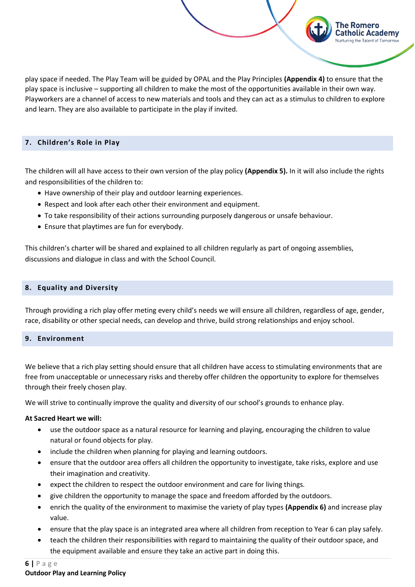play space if needed. The Play Team will be guided by OPAL and the Play Principles **(Appendix 4)** to ensure that the play space is inclusive – supporting all children to make the most of the opportunities available in their own way. Playworkers are a channel of access to new materials and tools and they can act as a stimulus to children to explore and learn. They are also available to participate in the play if invited.

The Romero

atholic Academy

#### **7. Children's Role in Play**

The children will all have access to their own version of the play policy **(Appendix 5).** In it will also include the rights and responsibilities of the children to:

- Have ownership of their play and outdoor learning experiences.
- Respect and look after each other their environment and equipment.
- To take responsibility of their actions surrounding purposely dangerous or unsafe behaviour.
- Ensure that playtimes are fun for everybody.

This children's charter will be shared and explained to all children regularly as part of ongoing assemblies, discussions and dialogue in class and with the School Council.

#### **8. Equality and Diversity**

<span id="page-5-0"></span>Through providing a rich play offer meting every child's needs we will ensure all children, regardless of age, gender, race, disability or other special needs, can develop and thrive, build strong relationships and enjoy school.

#### **9. Environment**

We believe that a rich play setting should ensure that all children have access to stimulating environments that are free from unacceptable or unnecessary risks and thereby offer children the opportunity to explore for themselves through their freely chosen play.

We will strive to continually improve the quality and diversity of our school's grounds to enhance play.

#### **At Sacred Heart we will:**

- use the outdoor space as a natural resource for learning and playing, encouraging the children to value natural or found objects for play.
- include the children when planning for playing and learning outdoors.
- ensure that the outdoor area offers all children the opportunity to investigate, take risks, explore and use their imagination and creativity.
- expect the children to respect the outdoor environment and care for living things.
- give children the opportunity to manage the space and freedom afforded by the outdoors.
- enrich the quality of the environment to maximise the variety of play types **(Appendix 6)** and increase play value.
- ensure that the play space is an integrated area where all children from reception to Year 6 can play safely.
- teach the children their responsibilities with regard to maintaining the quality of their outdoor space, and the equipment available and ensure they take an active part in doing this.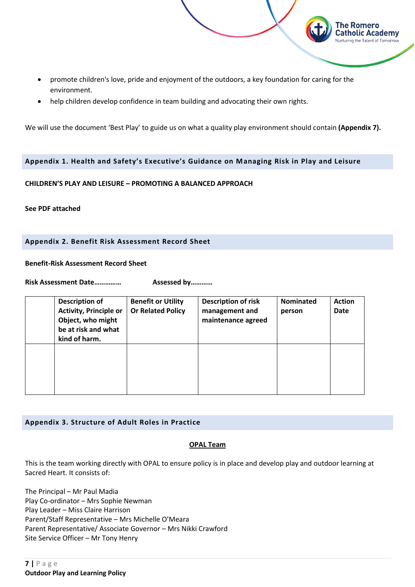• promote children's love, pride and enjoyment of the outdoors, a key foundation for caring for the environment.

The Romero Catholic Academy Nurturing the Talent of Tomorrow

• help children develop confidence in team building and advocating their own rights.

We will use the document 'Best Play' to guide us on what a quality play environment should contain **(Appendix 7).**

#### <span id="page-6-0"></span>**Appendix 1. Health and Safety's Executive's Guidance on Managing Risk in Play and Leisure**

#### **CHILDREN'S PLAY AND LEISURE – PROMOTING A BALANCED APPROACH**

**See PDF attached**

#### <span id="page-6-1"></span>**Appendix 2. Benefit Risk Assessment Record Sheet**

#### **Benefit-Risk Assessment Record Sheet**

**Risk Assessment Date…………… Assessed by…………**

| <b>Description of</b><br><b>Activity, Principle or</b><br>Object, who might<br>be at risk and what<br>kind of harm. | <b>Benefit or Utility</b><br><b>Or Related Policy</b> | <b>Description of risk</b><br>management and<br>maintenance agreed | <b>Nominated</b><br>person | <b>Action</b><br><b>Date</b> |
|---------------------------------------------------------------------------------------------------------------------|-------------------------------------------------------|--------------------------------------------------------------------|----------------------------|------------------------------|
|                                                                                                                     |                                                       |                                                                    |                            |                              |

#### <span id="page-6-2"></span>**Appendix 3. Structure of Adult Roles in Practice**

#### **OPAL Team**

This is the team working directly with OPAL to ensure policy is in place and develop play and outdoor learning at Sacred Heart. It consists of:

The Principal – Mr Paul Madia Play Co-ordinator – Mrs Sophie Newman Play Leader – Miss Claire Harrison Parent/Staff Representative – Mrs Michelle O'Meara Parent Representative/ Associate Governor – Mrs Nikki Crawford Site Service Officer – Mr Tony Henry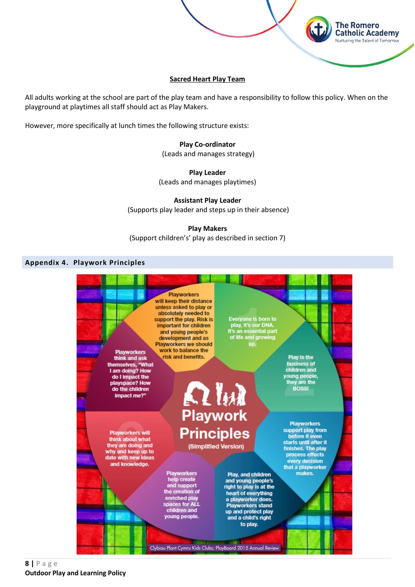

**The Romero Catholic Academy** Nurturing the Talent of Tomorrow

All adults working at the school are part of the play team and have a responsibility to follow this policy. When on the playground at playtimes all staff should act as Play Makers.

However, more specifically at lunch times the following structure exists:

**Play Co-ordinator** (Leads and manages strategy)

**Play Leader**  (Leads and manages playtimes)

**Assistant Play Leader** (Supports play leader and steps up in their absence)

**Play Makers**

(Support children's' play as described in section 7)

#### <span id="page-7-0"></span>**Appendix 4. Playwork Principles**

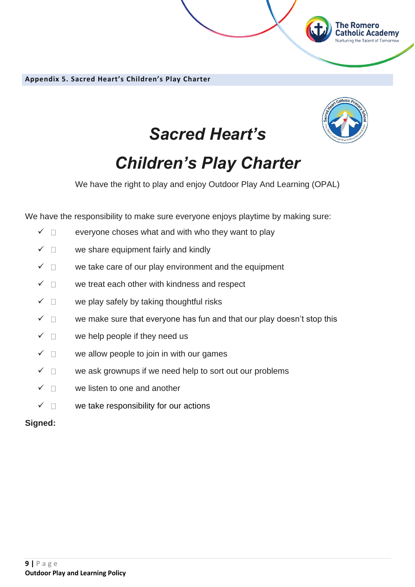**Appendix 5. Sacred Heart's Children's Play Charter**



The Romero<br>Catholic Academy

## *Sacred Heart's*

# *Children's Play Charter*

We have the right to play and enjoy Outdoor Play And Learning (OPAL)

We have the responsibility to make sure everyone enjoys playtime by making sure:

- $\checkmark$   $\Box$  everyone choses what and with who they want to play
- $\checkmark$   $\Box$  we share equipment fairly and kindly
- $\checkmark$   $\Box$  we take care of our play environment and the equipment
- $\checkmark$   $\Box$  we treat each other with kindness and respect
- $\checkmark$   $\Box$  we play safely by taking thoughtful risks
- $\checkmark$   $\Box$  we make sure that everyone has fun and that our play doesn't stop this
- $\checkmark$   $\Box$  we help people if they need us
- $\checkmark$   $\Box$  we allow people to join in with our games
- $\checkmark$   $\Box$  we ask grownups if we need help to sort out our problems
- $\checkmark$   $\Box$  we listen to one and another
- $\checkmark$   $\Box$  we take responsibility for our actions

## **Signed:**